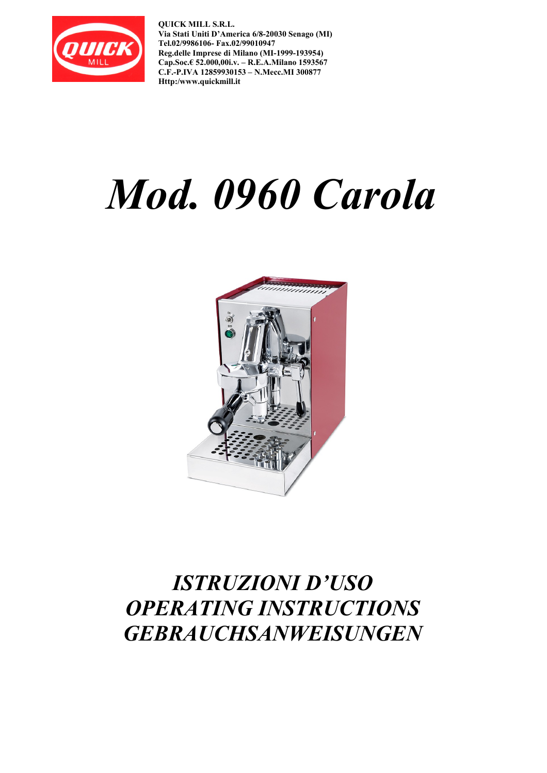

**QUICK MILL S.R.L. Via Stati Uniti D'America 6/8-20030 Senago (MI) Tel.02/9986106- Fax.02/99010947 Reg.delle Imprese di Milano (MI-1999-193954) Cap.Soc.€ 52.000,00i.v. – R.E.A.Milano 1593567 C.F.-P.IVA 12859930153 – N.Mecc.MI 300877 Http:/www.quickmill.it** 

# *Mod. 0960 Carola*



# *ISTRUZIONI D'USO OPERATING INSTRUCTIONS GEBRAUCHSANWEISUNGEN*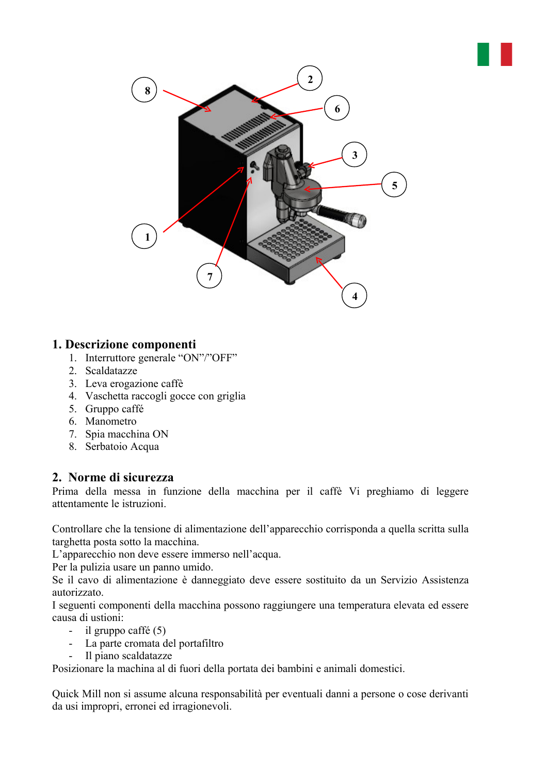

#### **1. Descrizione componenti**

- 1. Interruttore generale "ON"/"OFF"
- 2. Scaldatazze
- 3. Leva erogazione caffè
- 4. Vaschetta raccogli gocce con griglia
- 5. Gruppo caffé
- 6. Manometro
- 7. Spia macchina ON
- 8. Serbatoio Acqua

#### **2. Norme di sicurezza**

Prima della messa in funzione della macchina per il caffè Vi preghiamo di leggere attentamente le istruzioni.

Controllare che la tensione di alimentazione dell'apparecchio corrisponda a quella scritta sulla targhetta posta sotto la macchina.

L'apparecchio non deve essere immerso nell'acqua.

Per la pulizia usare un panno umido.

Se il cavo di alimentazione è danneggiato deve essere sostituito da un Servizio Assistenza autorizzato.

I seguenti componenti della macchina possono raggiungere una temperatura elevata ed essere causa di ustioni:

- il gruppo caffé (5)
- La parte cromata del portafiltro
- Il piano scaldatazze

Posizionare la machina al di fuori della portata dei bambini e animali domestici.

Quick Mill non si assume alcuna responsabilità per eventuali danni a persone o cose derivanti da usi impropri, erronei ed irragionevoli.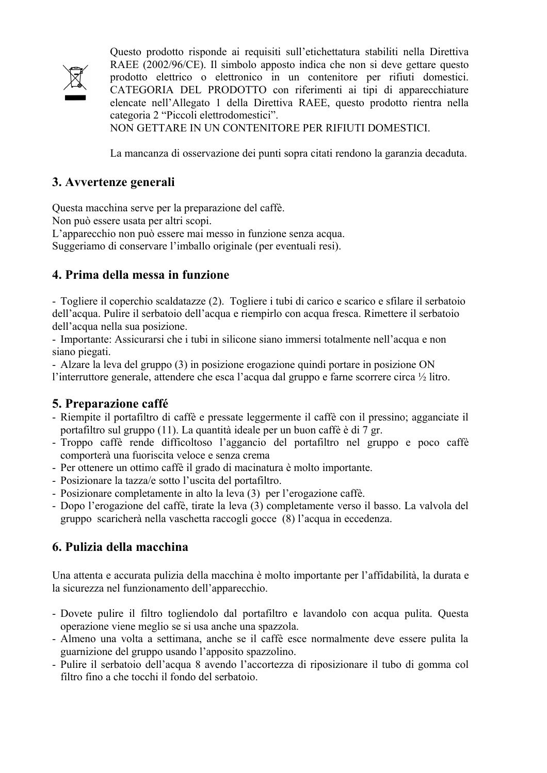

Questo prodotto risponde ai requisiti sull'etichettatura stabiliti nella Direttiva RAEE (2002/96/CE). Il simbolo apposto indica che non si deve gettare questo prodotto elettrico o elettronico in un contenitore per rifiuti domestici. CATEGORIA DEL PRODOTTO con riferimenti ai tipi di apparecchiature elencate nell'Allegato 1 della Direttiva RAEE, questo prodotto rientra nella categoria 2 "Piccoli elettrodomestici".

NON GETTARE IN UN CONTENITORE PER RIFIUTI DOMESTICI.

La mancanza di osservazione dei punti sopra citati rendono la garanzia decaduta.

#### **3. Avvertenze generali**

Questa macchina serve per la preparazione del caffè.

Non può essere usata per altri scopi.

L'apparecchio non può essere mai messo in funzione senza acqua.

Suggeriamo di conservare l'imballo originale (per eventuali resi).

#### **4. Prima della messa in funzione**

- Togliere il coperchio scaldatazze (2). Togliere i tubi di carico e scarico e sfilare il serbatoio dell'acqua. Pulire il serbatoio dell'acqua e riempirlo con acqua fresca. Rimettere il serbatoio dell'acqua nella sua posizione.

- Importante: Assicurarsi che i tubi in silicone siano immersi totalmente nell'acqua e non siano piegati.

- Alzare la leva del gruppo (3) in posizione erogazione quindi portare in posizione ON l'interruttore generale, attendere che esca l'acqua dal gruppo e farne scorrere circa ½ litro.

#### **5. Preparazione caffé**

- Riempite il portafiltro di caffè e pressate leggermente il caffè con il pressino; agganciate il portafiltro sul gruppo (11). La quantità ideale per un buon caffè è di 7 gr.
- Troppo caffè rende difficoltoso l'aggancio del portafiltro nel gruppo e poco caffè comporterà una fuoriscita veloce e senza crema
- Per ottenere un ottimo caffè il grado di macinatura è molto importante.
- Posizionare la tazza/e sotto l'uscita del portafiltro.
- Posizionare completamente in alto la leva (3) per l'erogazione caffè.
- Dopo l'erogazione del caffè, tirate la leva (3) completamente verso il basso. La valvola del gruppo scaricherà nella vaschetta raccogli gocce (8) l'acqua in eccedenza.

## **6. Pulizia della macchina**

Una attenta e accurata pulizia della macchina è molto importante per l'affidabilità, la durata e la sicurezza nel funzionamento dell'apparecchio.

- Dovete pulire il filtro togliendolo dal portafiltro e lavandolo con acqua pulita. Questa operazione viene meglio se si usa anche una spazzola.
- Almeno una volta a settimana, anche se il caffè esce normalmente deve essere pulita la guarnizione del gruppo usando l'apposito spazzolino.
- Pulire il serbatoio dell'acqua 8 avendo l'accortezza di riposizionare il tubo di gomma col filtro fino a che tocchi il fondo del serbatoio.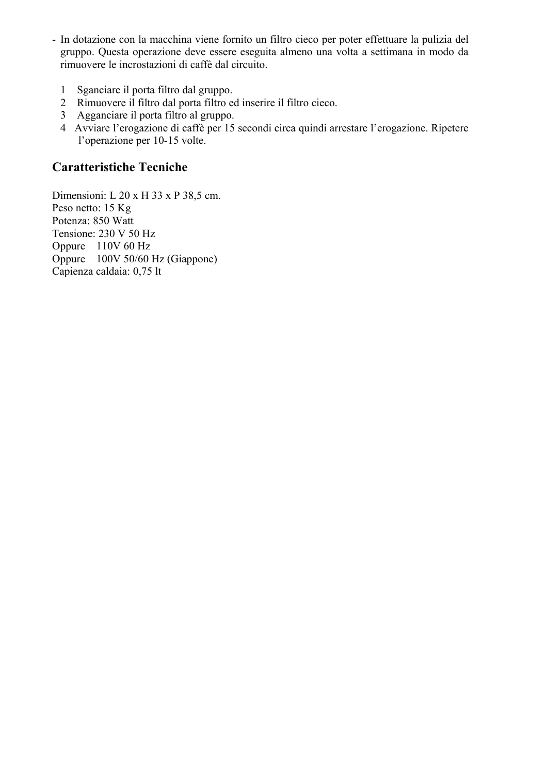- In dotazione con la macchina viene fornito un filtro cieco per poter effettuare la pulizia del gruppo. Questa operazione deve essere eseguita almeno una volta a settimana in modo da rimuovere le incrostazioni di caffè dal circuito.
	- 1 Sganciare il porta filtro dal gruppo.
	- 2 Rimuovere il filtro dal porta filtro ed inserire il filtro cieco.
	- 3 Agganciare il porta filtro al gruppo.
	- 4 Avviare l'erogazione di caffè per 15 secondi circa quindi arrestare l'erogazione. Ripetere l'operazione per 10-15 volte.

#### **Caratteristiche Tecniche**

Dimensioni: L 20 x H 33 x P 38,5 cm. Peso netto: 15 Kg Potenza: 850 Watt Tensione: 230 V 50 Hz Oppure 110V 60 Hz Oppure 100V 50/60 Hz (Giappone) Capienza caldaia: 0,75 lt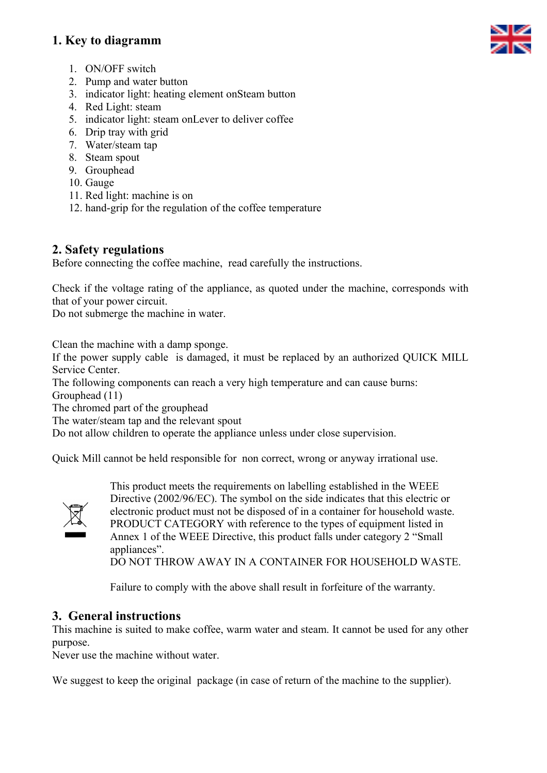#### **1. Key to diagramm**



- 1. ON/OFF switch
- 2. Pump and water button
- 3. indicator light: heating element onSteam button
- 4. Red Light: steam
- 5. indicator light: steam onLever to deliver coffee
- 6. Drip tray with grid
- 7. Water/steam tap
- 8. Steam spout
- 9. Grouphead
- 10. Gauge
- 11. Red light: machine is on
- 12. hand-grip for the regulation of the coffee temperature

#### **2. Safety regulations**

Before connecting the coffee machine, read carefully the instructions.

Check if the voltage rating of the appliance, as quoted under the machine, corresponds with that of your power circuit.

Do not submerge the machine in water.

Clean the machine with a damp sponge.

If the power supply cable is damaged, it must be replaced by an authorized QUICK MILL Service Center.

The following components can reach a very high temperature and can cause burns:

Grouphead (11)

The chromed part of the grouphead

The water/steam tap and the relevant spout

Do not allow children to operate the appliance unless under close supervision.

Quick Mill cannot be held responsible for non correct, wrong or anyway irrational use.



This product meets the requirements on labelling established in the WEEE Directive (2002/96/EC). The symbol on the side indicates that this electric or electronic product must not be disposed of in a container for household waste. PRODUCT CATEGORY with reference to the types of equipment listed in Annex 1 of the WEEE Directive, this product falls under category 2 "Small appliances"

DO NOT THROW AWAY IN A CONTAINER FOR HOUSEHOLD WASTE.

Failure to comply with the above shall result in forfeiture of the warranty.

#### **3. General instructions**

This machine is suited to make coffee, warm water and steam. It cannot be used for any other purpose.

Never use the machine without water.

We suggest to keep the original package (in case of return of the machine to the supplier).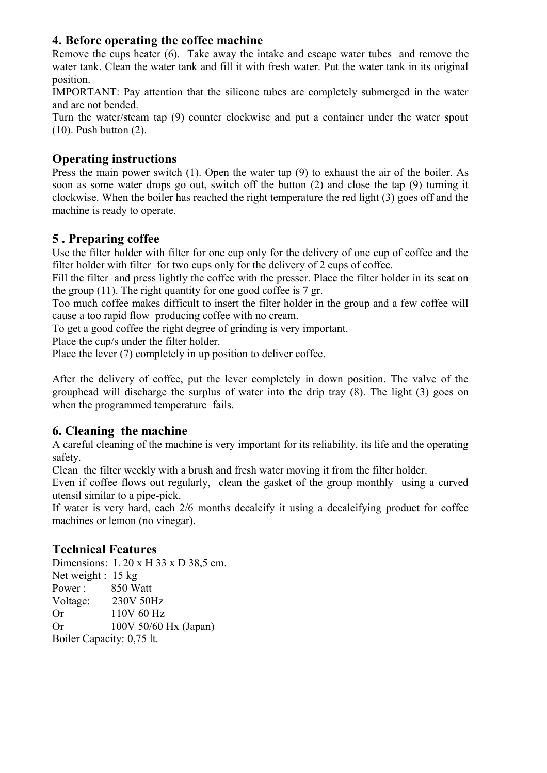#### **4. Before operating the coffee machine**

Remove the cups heater (6). Take away the intake and escape water tubes and remove the water tank. Clean the water tank and fill it with fresh water. Put the water tank in its original position.

IMPORTANT: Pay attention that the silicone tubes are completely submerged in the water and are not bended.

Turn the water/steam tap (9) counter clockwise and put a container under the water spout (10). Push button (2).

#### **Operating instructions**

Press the main power switch (1). Open the water tap (9) to exhaust the air of the boiler. As soon as some water drops go out, switch off the button (2) and close the tap (9) turning it clockwise. When the boiler has reached the right temperature the red light (3) goes off and the machine is ready to operate.

#### **5 . Preparing coffee**

Use the filter holder with filter for one cup only for the delivery of one cup of coffee and the filter holder with filter for two cups only for the delivery of 2 cups of coffee.

Fill the filter and press lightly the coffee with the presser. Place the filter holder in its seat on the group  $(11)$ . The right quantity for one good coffee is 7 gr.

Too much coffee makes difficult to insert the filter holder in the group and a few coffee will cause a too rapid flow producing coffee with no cream.

To get a good coffee the right degree of grinding is very important.

Place the cup/s under the filter holder.

Place the lever (7) completely in up position to deliver coffee.

After the delivery of coffee, put the lever completely in down position. The valve of the grouphead will discharge the surplus of water into the drip tray (8). The light (3) goes on when the programmed temperature fails.

#### **6. Cleaning the machine**

A careful cleaning of the machine is very important for its reliability, its life and the operating safety.

Clean the filter weekly with a brush and fresh water moving it from the filter holder.

Even if coffee flows out regularly, clean the gasket of the group monthly using a curved utensil similar to a pipe-pick.

If water is very hard, each 2/6 months decalcify it using a decalcifying product for coffee machines or lemon (no vinegar).

#### **Technical Features**

Dimensions: L 20 x H 33 x D 38,5 cm. Net weight : 15 kg Power : 850 Watt Voltage: 230V 50Hz Or 110V 60 Hz Or 100V 50/60 Hx (Japan) Boiler Capacity: 0,75 lt.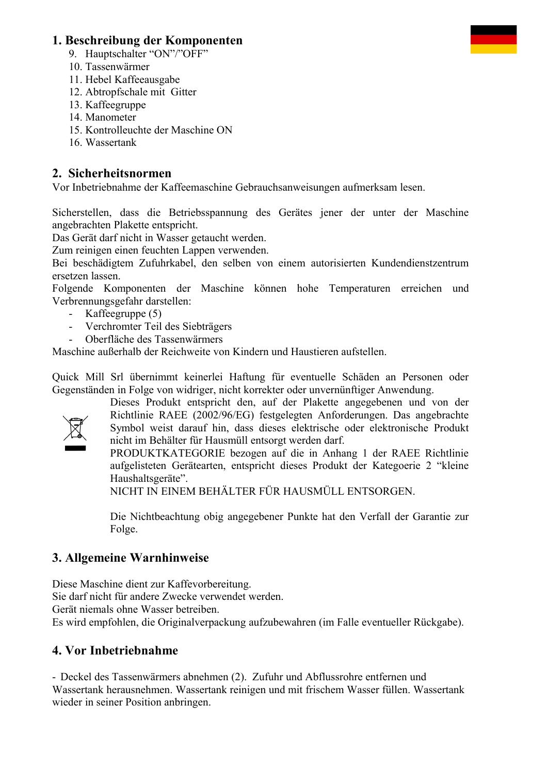#### **1. Beschreibung der Komponenten**

- 9. Hauptschalter "ON"/"OFF"
- 10. Tassenwärmer
- 11. Hebel Kaffeeausgabe
- 12. Abtropfschale mit Gitter
- 13. Kaffeegruppe
- 14. Manometer
- 15. Kontrolleuchte der Maschine ON
- 16. Wassertank

#### **2. Sicherheitsnormen**

Vor Inbetriebnahme der Kaffeemaschine Gebrauchsanweisungen aufmerksam lesen.

Sicherstellen, dass die Betriebsspannung des Gerätes jener der unter der Maschine angebrachten Plakette entspricht.

Das Gerät darf nicht in Wasser getaucht werden.

Zum reinigen einen feuchten Lappen verwenden.

Bei beschädigtem Zufuhrkabel, den selben von einem autorisierten Kundendienstzentrum ersetzen lassen.

Folgende Komponenten der Maschine können hohe Temperaturen erreichen und Verbrennungsgefahr darstellen:

- Kaffeegruppe (5)
- Verchromter Teil des Siebträgers
- Oberfläche des Tassenwärmers

Maschine außerhalb der Reichweite von Kindern und Haustieren aufstellen.

Quick Mill Srl übernimmt keinerlei Haftung für eventuelle Schäden an Personen oder Gegenständen in Folge von widriger, nicht korrekter oder unvernünftiger Anwendung.



Dieses Produkt entspricht den, auf der Plakette angegebenen und von der Richtlinie RAEE (2002/96/EG) festgelegten Anforderungen. Das angebrachte Symbol weist darauf hin, dass dieses elektrische oder elektronische Produkt nicht im Behälter für Hausmüll entsorgt werden darf.

PRODUKTKATEGORIE bezogen auf die in Anhang 1 der RAEE Richtlinie aufgelisteten Gerätearten, entspricht dieses Produkt der Kategoerie 2 "kleine Haushaltsgeräte".

NICHT IN EINEM BEHÄLTER FÜR HAUSMÜLL ENTSORGEN.

Die Nichtbeachtung obig angegebener Punkte hat den Verfall der Garantie zur Folge.

## **3. Allgemeine Warnhinweise**

Diese Maschine dient zur Kaffevorbereitung. Sie darf nicht für andere Zwecke verwendet werden. Gerät niemals ohne Wasser betreiben. Es wird empfohlen, die Originalverpackung aufzubewahren (im Falle eventueller Rückgabe).

## **4. Vor Inbetriebnahme**

- Deckel des Tassenwärmers abnehmen (2). Zufuhr und Abflussrohre entfernen und Wassertank herausnehmen. Wassertank reinigen und mit frischem Wasser füllen. Wassertank wieder in seiner Position anbringen.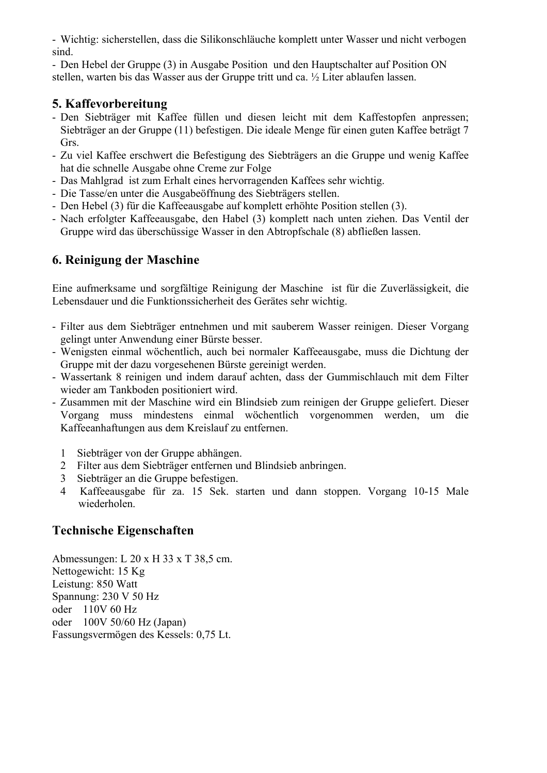- Wichtig: sicherstellen, dass die Silikonschläuche komplett unter Wasser und nicht verbogen sind.

- Den Hebel der Gruppe (3) in Ausgabe Position und den Hauptschalter auf Position ON stellen, warten bis das Wasser aus der Gruppe tritt und ca. ½ Liter ablaufen lassen.

#### **5. Kaffevorbereitung**

- Den Siebträger mit Kaffee füllen und diesen leicht mit dem Kaffestopfen anpressen; Siebträger an der Gruppe (11) befestigen. Die ideale Menge für einen guten Kaffee beträgt 7 Grs.
- Zu viel Kaffee erschwert die Befestigung des Siebträgers an die Gruppe und wenig Kaffee hat die schnelle Ausgabe ohne Creme zur Folge
- Das Mahlgrad ist zum Erhalt eines hervorragenden Kaffees sehr wichtig.
- Die Tasse/en unter die Ausgabeöffnung des Siebträgers stellen.
- Den Hebel (3) für die Kaffeeausgabe auf komplett erhöhte Position stellen (3).
- Nach erfolgter Kaffeeausgabe, den Habel (3) komplett nach unten ziehen. Das Ventil der Gruppe wird das überschüssige Wasser in den Abtropfschale (8) abfließen lassen.

## **6. Reinigung der Maschine**

Eine aufmerksame und sorgfältige Reinigung der Maschine ist für die Zuverlässigkeit, die Lebensdauer und die Funktionssicherheit des Gerätes sehr wichtig.

- Filter aus dem Siebträger entnehmen und mit sauberem Wasser reinigen. Dieser Vorgang gelingt unter Anwendung einer Bürste besser.
- Wenigsten einmal wöchentlich, auch bei normaler Kaffeeausgabe, muss die Dichtung der Gruppe mit der dazu vorgesehenen Bürste gereinigt werden.
- Wassertank 8 reinigen und indem darauf achten, dass der Gummischlauch mit dem Filter wieder am Tankboden positioniert wird.
- Zusammen mit der Maschine wird ein Blindsieb zum reinigen der Gruppe geliefert. Dieser Vorgang muss mindestens einmal wöchentlich vorgenommen werden, um die Kaffeeanhaftungen aus dem Kreislauf zu entfernen.
	- 1 Siebträger von der Gruppe abhängen.
	- 2 Filter aus dem Siebträger entfernen und Blindsieb anbringen.
	- 3 Siebträger an die Gruppe befestigen.
	- 4 Kaffeeausgabe für za. 15 Sek. starten und dann stoppen. Vorgang 10-15 Male wiederholen.

#### **Technische Eigenschaften**

Abmessungen: L 20 x H 33 x T 38,5 cm. Nettogewicht: 15 Kg Leistung: 850 Watt Spannung: 230 V 50 Hz oder 110V 60 Hz oder 100V 50/60 Hz (Japan) Fassungsvermögen des Kessels: 0,75 Lt.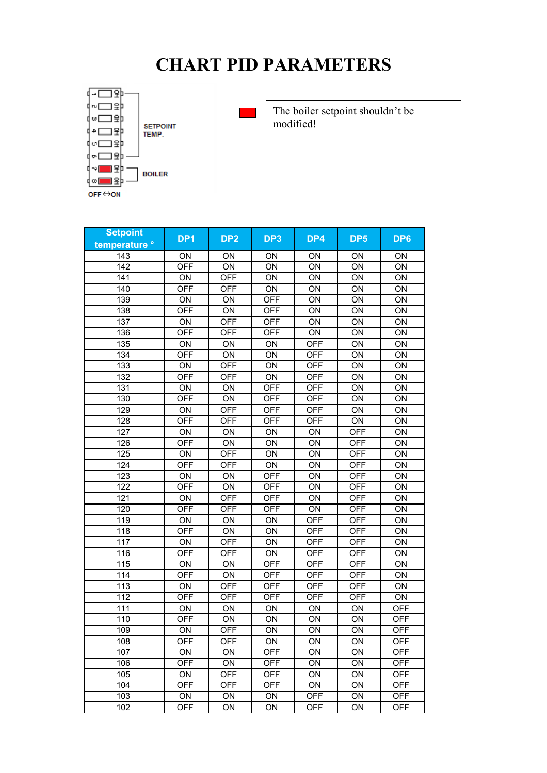# **CHART PID PARAMETERS**



**SETPOINT**<br>TEMP.



The boiler setpoint shouldn't be modified!

| <b>Setpoint</b> | DP <sub>1</sub> | DP <sub>2</sub> | DP <sub>3</sub> | DP4        | DP <sub>5</sub> | DP6        |
|-----------------|-----------------|-----------------|-----------------|------------|-----------------|------------|
| temperature °   |                 |                 |                 |            |                 |            |
| 143             | ON              | ON              | ON              | <b>ON</b>  | ON              | ON         |
| 142             | <b>OFF</b>      | ON              | ON              | ON         | ON              | ON         |
| 141             | ON              | <b>OFF</b>      | ON              | ON         | ON              | ON         |
| 140             | <b>OFF</b>      | <b>OFF</b>      | ON              | ON         | ON              | ON         |
| 139             | ON              | ON              | <b>OFF</b>      | ON         | ON              | ON         |
| 138             | <b>OFF</b>      | ON              | <b>OFF</b>      | ON         | ON              | ON         |
| 137             | ON              | <b>OFF</b>      | <b>OFF</b>      | ON         | ON              | ON         |
| 136             | <b>OFF</b>      | <b>OFF</b>      | <b>OFF</b>      | ON         | ON              | ON         |
| 135             | ON              | ON              | ON              | <b>OFF</b> | ON              | ON         |
| 134             | <b>OFF</b>      | ON              | ON              | <b>OFF</b> | ON              | ON         |
| 133             | ON              | <b>OFF</b>      | ON              | <b>OFF</b> | ON              | ON         |
| 132             | <b>OFF</b>      | <b>OFF</b>      | ON              | <b>OFF</b> | ON              | ON         |
| 131             | ON              | ON              | <b>OFF</b>      | <b>OFF</b> | ON              | ON         |
| 130             | <b>OFF</b>      | ON              | <b>OFF</b>      | <b>OFF</b> | ON              | ON         |
| 129             | ON              | <b>OFF</b>      | <b>OFF</b>      | <b>OFF</b> | ON              | ON         |
| 128             | <b>OFF</b>      | <b>OFF</b>      | <b>OFF</b>      | <b>OFF</b> | ON              | ON         |
| 127             | ON              | ON              | ON              | ON         | <b>OFF</b>      | ON         |
| 126             | <b>OFF</b>      | ON              | ON              | ON         | <b>OFF</b>      | ON         |
| 125             | ON              | <b>OFF</b>      | ON              | ON         | <b>OFF</b>      | ON         |
| 124             | <b>OFF</b>      | <b>OFF</b>      | ON              | ON         | <b>OFF</b>      | ON         |
| 123             | ON              | ON              | <b>OFF</b>      | ON         | <b>OFF</b>      | ON         |
| 122             | <b>OFF</b>      | ON              | <b>OFF</b>      | ON         | <b>OFF</b>      | ON         |
| 121             | ON              | <b>OFF</b>      | <b>OFF</b>      | ON         | <b>OFF</b>      | ON         |
| 120             | <b>OFF</b>      | <b>OFF</b>      | <b>OFF</b>      | ON         | <b>OFF</b>      | ON         |
| 119             | ON              | ON              | ON              | <b>OFF</b> | <b>OFF</b>      | ON         |
| 118             | <b>OFF</b>      | ON              | ON              | <b>OFF</b> | <b>OFF</b>      | ON         |
| 117             | ON              | <b>OFF</b>      | ON              | <b>OFF</b> | <b>OFF</b>      | ON         |
| 116             | <b>OFF</b>      | <b>OFF</b>      | ON              | <b>OFF</b> | <b>OFF</b>      | ON         |
| 115             | ON              | ON              | <b>OFF</b>      | <b>OFF</b> | <b>OFF</b>      | ON         |
| 114             | <b>OFF</b>      | ON              | <b>OFF</b>      | <b>OFF</b> | <b>OFF</b>      | ON         |
| 113             | ON              | <b>OFF</b>      | <b>OFF</b>      | <b>OFF</b> | <b>OFF</b>      | ON         |
| 112             | <b>OFF</b>      | <b>OFF</b>      | <b>OFF</b>      | <b>OFF</b> | <b>OFF</b>      | ON         |
| 111             | ON              | ON              | ON              | ON         | ON              | <b>OFF</b> |
| 110             | <b>OFF</b>      | ON              | ON              | ON         | ON              | <b>OFF</b> |
| 109             | ON              | <b>OFF</b>      | ON              | ON         | ON              | <b>OFF</b> |
| 108             | OFF             | 아버              | <b>ON</b>       | ΟN         | ΟN              | OFF        |
| 107             | <b>ON</b>       | ON              | <b>OFF</b>      | ON         | ON              | <b>OFF</b> |
| 106             | <b>OFF</b>      | ON              | <b>OFF</b>      | ON         | ON              | <b>OFF</b> |
| 105             | ON              | <b>OFF</b>      | <b>OFF</b>      | ON         | ON              | <b>OFF</b> |
| 104             | <b>OFF</b>      | OFF             | <b>OFF</b>      | ON         | ON              | <b>OFF</b> |
| 103             | ON              | ON              | ON              | <b>OFF</b> | ON              | <b>OFF</b> |
| 102             | <b>OFF</b>      | ON              | ON              | <b>OFF</b> | ON              | <b>OFF</b> |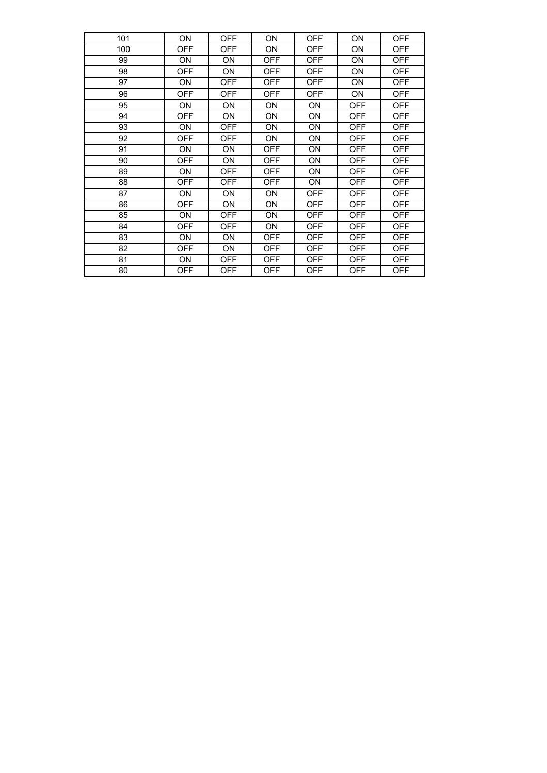| 101 | ON         | <b>OFF</b> | ON         | <b>OFF</b> | ON         | <b>OFF</b> |
|-----|------------|------------|------------|------------|------------|------------|
| 100 | <b>OFF</b> | <b>OFF</b> | ON         | <b>OFF</b> | ON         | <b>OFF</b> |
| 99  | 0N         | ΟN         | <b>OFF</b> | <b>OFF</b> | ON         | <b>OFF</b> |
| 98  | <b>OFF</b> | ON         | <b>OFF</b> | <b>OFF</b> | ON         | <b>OFF</b> |
| 97  | ON         | <b>OFF</b> | OFF        | OFF        | ON         | <b>OFF</b> |
| 96  | OFF        | OFF        | OFF        | OFF        | ON         | <b>OFF</b> |
| 95  | ON         | ON         | ON         | ON         | <b>OFF</b> | <b>OFF</b> |
| 94  | <b>OFF</b> | ON         | ON         | ON         | <b>OFF</b> | <b>OFF</b> |
| 93  | ON         | <b>OFF</b> | ON         | ON         | OFF        | <b>OFF</b> |
| 92  | <b>OFF</b> | <b>OFF</b> | ON         | ON         | <b>OFF</b> | <b>OFF</b> |
| 91  | ON         | ON         | <b>OFF</b> | ON         | <b>OFF</b> | <b>OFF</b> |
| 90  | <b>OFF</b> | ON         | OFF        | ON         | OFF        | <b>OFF</b> |
| 89  | ON         | <b>OFF</b> | <b>OFF</b> | ON         | <b>OFF</b> | <b>OFF</b> |
| 88  | <b>OFF</b> | <b>OFF</b> | <b>OFF</b> | ON         | <b>OFF</b> | <b>OFF</b> |
| 87  | ON         | ON         | ON         | OFF        | OFF        | <b>OFF</b> |
| 86  | <b>OFF</b> | ON         | ON         | OFF        | <b>OFF</b> | <b>OFF</b> |
| 85  | ON         | <b>OFF</b> | ON         | <b>OFF</b> | <b>OFF</b> | <b>OFF</b> |
| 84  | <b>OFF</b> | <b>OFF</b> | ON         | <b>OFF</b> | <b>OFF</b> | <b>OFF</b> |
| 83  | ON         | ON         | OFF        | OFF        | OFF        | <b>OFF</b> |
| 82  | OFF        | ON         | OFF        | OFF        | <b>OFF</b> | <b>OFF</b> |
| 81  | ON         | <b>OFF</b> | <b>OFF</b> | <b>OFF</b> | <b>OFF</b> | <b>OFF</b> |
| 80  | <b>OFF</b> | <b>OFF</b> | <b>OFF</b> | OFF        | <b>OFF</b> | <b>OFF</b> |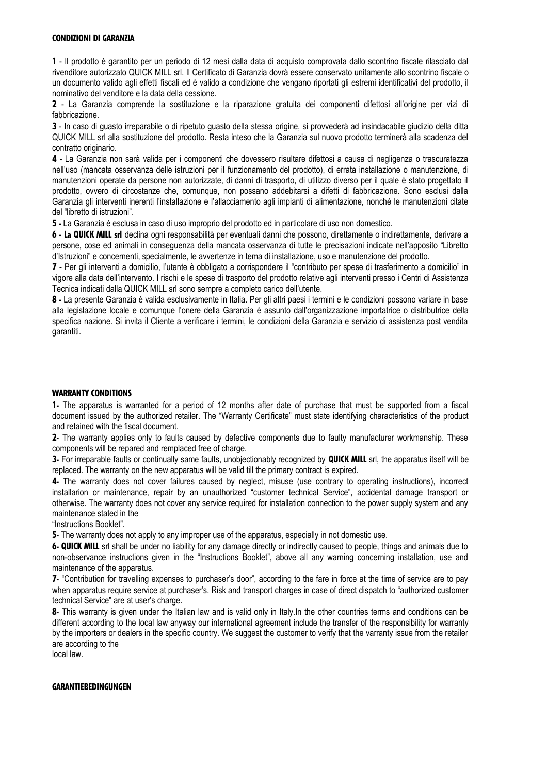#### CONDIZIONI DI GARANZIA

1 - Il prodotto è garantito per un periodo di 12 mesi dalla data di acquisto comprovata dallo scontrino fiscale rilasciato dal rivenditore autorizzato QUICK MILL srl. Il Certificato di Garanzia dovrà essere conservato unitamente allo scontrino fiscale o un documento valido agli effetti fiscali ed è valido a condizione che vengano riportati gli estremi identificativi del prodotto, il nominativo del venditore e la data della cessione.

2 - La Garanzia comprende la sostituzione e la riparazione gratuita dei componenti difettosi all'origine per vizi di fabbricazione.

3 - In caso di guasto irreparabile o di ripetuto guasto della stessa origine, si provvederà ad insindacabile giudizio della ditta QUICK MILL srl alla sostituzione del prodotto. Resta inteso che la Garanzia sul nuovo prodotto terminerà alla scadenza del contratto originario.

4 - La Garanzia non sarà valida per i componenti che dovessero risultare difettosi a causa di negligenza o trascuratezza nell'uso (mancata osservanza delle istruzioni per il funzionamento del prodotto), di errata installazione o manutenzione, di manutenzioni operate da persone non autorizzate, di danni di trasporto, di utilizzo diverso per il quale è stato progettato il prodotto, ovvero di circostanze che, comunque, non possano addebitarsi a difetti di fabbricazione. Sono esclusi dalla Garanzia gli interventi inerenti l'installazione e l'allacciamento agli impianti di alimentazione, nonché le manutenzioni citate del "libretto di istruzioni".

5 - La Garanzia è esclusa in caso di uso improprio del prodotto ed in particolare di uso non domestico.

6 - La QUICK MILL srl declina ogni responsabilità per eventuali danni che possono, direttamente o indirettamente, derivare a persone, cose ed animali in conseguenza della mancata osservanza di tutte le precisazioni indicate nell'apposito "Libretto d'Istruzioni" e concernenti, specialmente, le avvertenze in tema di installazione, uso e manutenzione del prodotto.

7 - Per gli interventi a domicilio, l'utente è obbligato a corrispondere il "contributo per spese di trasferimento a domicilio" in vigore alla data dell'intervento. I rischi e le spese di trasporto del prodotto relative agli interventi presso i Centri di Assistenza Tecnica indicati dalla QUICK MILL srl sono sempre a completo carico dell'utente.

8 - La presente Garanzia è valida esclusivamente in Italia. Per gli altri paesi i termini e le condizioni possono variare in base alla legislazione locale e comunque l'onere della Garanzia è assunto dall'organizzazione importatrice o distributrice della specifica nazione. Si invita il Cliente a verificare i termini, le condizioni della Garanzia e servizio di assistenza post vendita garantiti.

#### WARRANTY CONDITIONS

1- The apparatus is warranted for a period of 12 months after date of purchase that must be supported from a fiscal document issued by the authorized retailer. The "Warranty Certificate" must state identifying characteristics of the product and retained with the fiscal document.

2- The warranty applies only to faults caused by defective components due to faulty manufacturer workmanship. These components will be repared and remplaced free of charge.

3- For irreparable faults or continually same faults, unobjectionably recognized by **QUICK MILL** srl, the apparatus itself will be replaced. The warranty on the new apparatus will be valid till the primary contract is expired.

4- The warranty does not cover failures caused by neglect, misuse (use contrary to operating instructions), incorrect installarion or maintenance, repair by an unauthorized "customer technical Service", accidental damage transport or otherwise. The warranty does not cover any service required for installation connection to the power supply system and any maintenance stated in the

"Instructions Booklet".

5- The warranty does not apply to any improper use of the apparatus, especially in not domestic use.

6- QUICK MILL srl shall be under no liability for any damage directly or indirectly caused to people, things and animals due to non-observance instructions given in the "Instructions Booklet", above all any warning concerning installation, use and maintenance of the apparatus.

7- "Contribution for travelling expenses to purchaser's door", according to the fare in force at the time of service are to pay when apparatus require service at purchaser's. Risk and transport charges in case of direct dispatch to "authorized customer technical Service" are at user's charge.

8- This warranty is given under the Italian law and is valid only in Italy. In the other countries terms and conditions can be different according to the local law anyway our international agreement include the transfer of the responsibility for warranty by the importers or dealers in the specific country. We suggest the customer to verify that the varranty issue from the retailer are according to the

local law.

#### GARANTIEBEDINGUNGEN